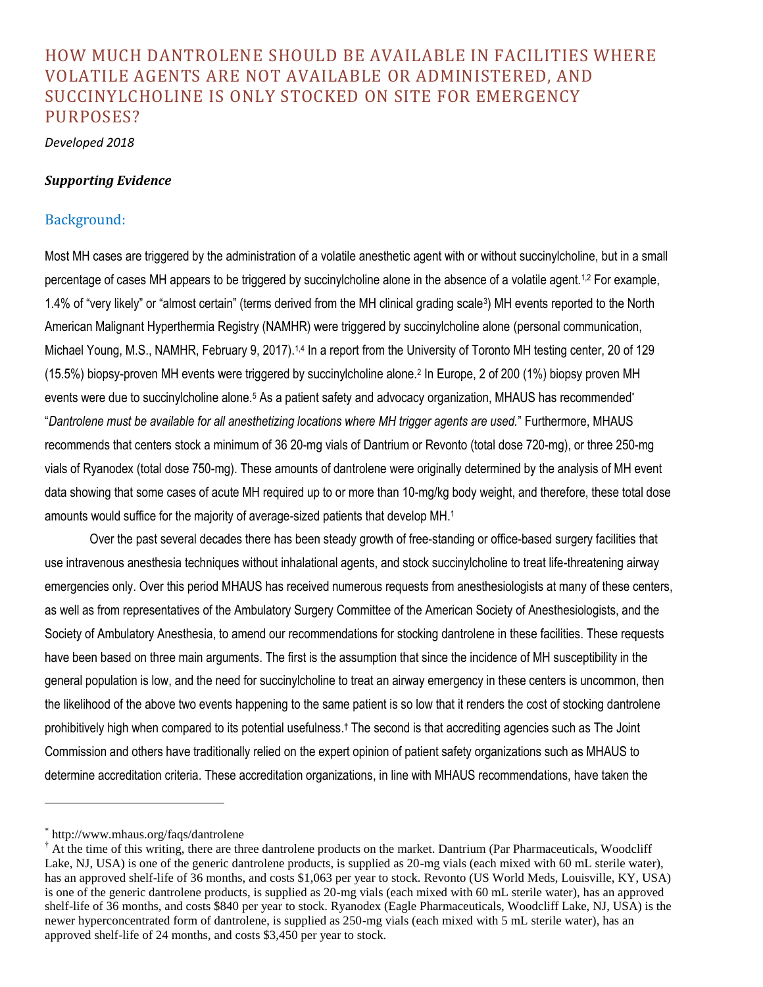# HOW MUCH DANTROLENE SHOULD BE AVAILABLE IN FACILITIES WHERE VOLATILE AGENTS ARE NOT AVAILABLE OR ADMINISTERED, AND SUCCINYLCHOLINE IS ONLY STOCKED ON SITE FOR EMERGENCY PURPOSES?

*Developed 2018*

#### *Supporting Evidence*

### Background:

Most MH cases are triggered by the administration of a volatile anesthetic agent with or without succinylcholine, but in a small percentage of cases MH appears to be triggered by succinylcholine alone in the absence of a volatile agent.<sup>1,2</sup> For example, 1.4% of "very likely" or "almost certain" (terms derived from the MH clinical grading scale<sup>3</sup> ) MH events reported to the North American Malignant Hyperthermia Registry (NAMHR) were triggered by succinylcholine alone (personal communication, Michael Young, M.S., NAMHR, February 9, 2017).<sup>1,4</sup> In a report from the University of Toronto MH testing center, 20 of 129 (15.5%) biopsy-proven MH events were triggered by succinylcholine alone.<sup>2</sup> In Europe, 2 of 200 (1%) biopsy proven MH events were due to succinylcholine alone.<sup>5</sup> As a patient safety and advocacy organization, MHAUS has recommended<sup>\*</sup> "*Dantrolene must be available for all anesthetizing locations where MH trigger agents are used.*" Furthermore, MHAUS recommends that centers stock a minimum of 36 20-mg vials of Dantrium or Revonto (total dose 720-mg), or three 250-mg vials of Ryanodex (total dose 750-mg). These amounts of dantrolene were originally determined by the analysis of MH event data showing that some cases of acute MH required up to or more than 10-mg/kg body weight, and therefore, these total dose amounts would suffice for the majority of average-sized patients that develop MH.<sup>1</sup>

Over the past several decades there has been steady growth of free-standing or office-based surgery facilities that use intravenous anesthesia techniques without inhalational agents, and stock succinylcholine to treat life-threatening airway emergencies only. Over this period MHAUS has received numerous requests from anesthesiologists at many of these centers, as well as from representatives of the Ambulatory Surgery Committee of the American Society of Anesthesiologists, and the Society of Ambulatory Anesthesia, to amend our recommendations for stocking dantrolene in these facilities. These requests have been based on three main arguments. The first is the assumption that since the incidence of MH susceptibility in the general population is low, and the need for succinylcholine to treat an airway emergency in these centers is uncommon, then the likelihood of the above two events happening to the same patient is so low that it renders the cost of stocking dantrolene prohibitively high when compared to its potential usefulness. † The second is that accrediting agencies such as The Joint Commission and others have traditionally relied on the expert opinion of patient safety organizations such as MHAUS to determine accreditation criteria. These accreditation organizations, in line with MHAUS recommendations, have taken the

 $\overline{a}$ 

<sup>\*</sup> http://www.mhaus.org/faqs/dantrolene

<sup>&</sup>lt;sup>†</sup> At the time of this writing, there are three dantrolene products on the market. Dantrium (Par Pharmaceuticals, Woodcliff Lake, NJ, USA) is one of the generic dantrolene products, is supplied as 20-mg vials (each mixed with 60 mL sterile water), has an approved shelf-life of 36 months, and costs \$1,063 per year to stock. Revonto (US World Meds, Louisville, KY, USA) is one of the generic dantrolene products, is supplied as 20-mg vials (each mixed with 60 mL sterile water), has an approved shelf-life of 36 months, and costs \$840 per year to stock. Ryanodex (Eagle Pharmaceuticals, Woodcliff Lake, NJ, USA) is the newer hyperconcentrated form of dantrolene, is supplied as 250-mg vials (each mixed with 5 mL sterile water), has an approved shelf-life of 24 months, and costs \$3,450 per year to stock.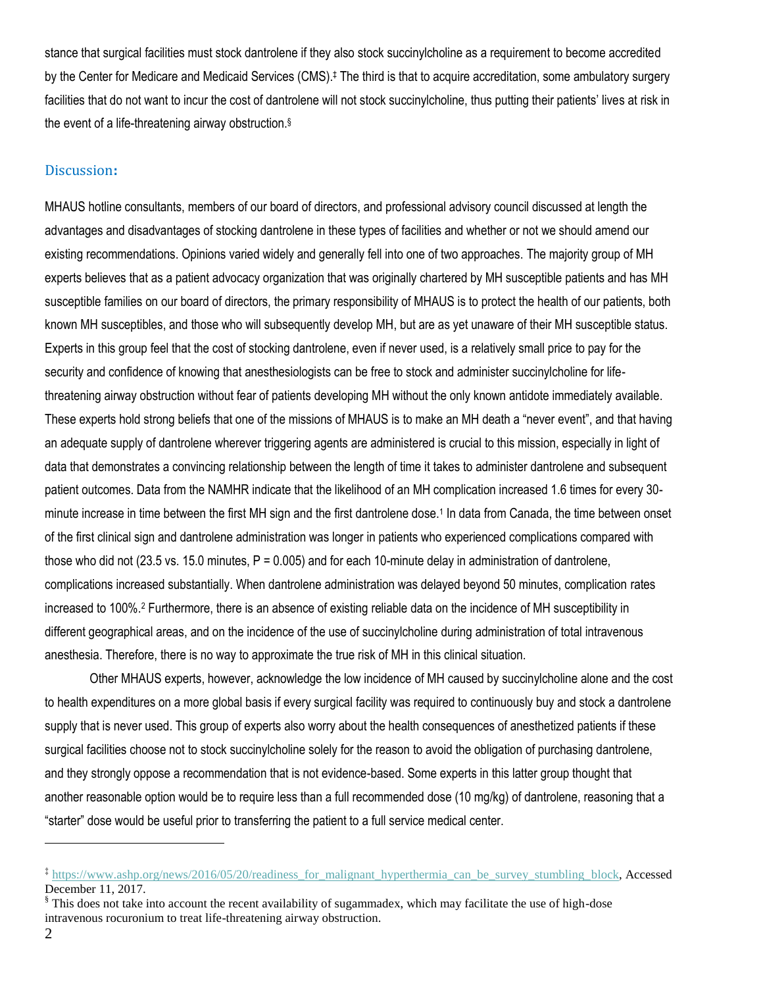stance that surgical facilities must stock dantrolene if they also stock succinylcholine as a requirement to become accredited by the Center for Medicare and Medicaid Services (CMS).<sup>‡</sup> The third is that to acquire accreditation, some ambulatory surgery facilities that do not want to incur the cost of dantrolene will not stock succinylcholine, thus putting their patients' lives at risk in the event of a life-threatening airway obstruction.§

#### Discussion**:**

MHAUS hotline consultants, members of our board of directors, and professional advisory council discussed at length the advantages and disadvantages of stocking dantrolene in these types of facilities and whether or not we should amend our existing recommendations. Opinions varied widely and generally fell into one of two approaches. The majority group of MH experts believes that as a patient advocacy organization that was originally chartered by MH susceptible patients and has MH susceptible families on our board of directors, the primary responsibility of MHAUS is to protect the health of our patients, both known MH susceptibles, and those who will subsequently develop MH, but are as yet unaware of their MH susceptible status. Experts in this group feel that the cost of stocking dantrolene, even if never used, is a relatively small price to pay for the security and confidence of knowing that anesthesiologists can be free to stock and administer succinylcholine for lifethreatening airway obstruction without fear of patients developing MH without the only known antidote immediately available. These experts hold strong beliefs that one of the missions of MHAUS is to make an MH death a "never event", and that having an adequate supply of dantrolene wherever triggering agents are administered is crucial to this mission, especially in light of data that demonstrates a convincing relationship between the length of time it takes to administer dantrolene and subsequent patient outcomes. Data from the NAMHR indicate that the likelihood of an MH complication increased 1.6 times for every 30 minute increase in time between the first MH sign and the first dantrolene dose.<sup>1</sup> In data from Canada, the time between onset of the first clinical sign and dantrolene administration was longer in patients who experienced complications compared with those who did not (23.5 vs. 15.0 minutes,  $P = 0.005$ ) and for each 10-minute delay in administration of dantrolene, complications increased substantially. When dantrolene administration was delayed beyond 50 minutes, complication rates increased to 100%.<sup>2</sup> Furthermore, there is an absence of existing reliable data on the incidence of MH susceptibility in different geographical areas, and on the incidence of the use of succinylcholine during administration of total intravenous anesthesia. Therefore, there is no way to approximate the true risk of MH in this clinical situation.

Other MHAUS experts, however, acknowledge the low incidence of MH caused by succinylcholine alone and the cost to health expenditures on a more global basis if every surgical facility was required to continuously buy and stock a dantrolene supply that is never used. This group of experts also worry about the health consequences of anesthetized patients if these surgical facilities choose not to stock succinylcholine solely for the reason to avoid the obligation of purchasing dantrolene, and they strongly oppose a recommendation that is not evidence-based. Some experts in this latter group thought that another reasonable option would be to require less than a full recommended dose (10 mg/kg) of dantrolene, reasoning that a "starter" dose would be useful prior to transferring the patient to a full service medical center.

 $\overline{a}$ 

<sup>&</sup>lt;sup>‡</sup> https://www.ashp.org/news/2016/05/20/readiness for malignant hyperthermia can be survey stumbling block, Accessed December 11, 2017.

<sup>§</sup> This does not take into account the recent availability of sugammadex, which may facilitate the use of high-dose intravenous rocuronium to treat life-threatening airway obstruction.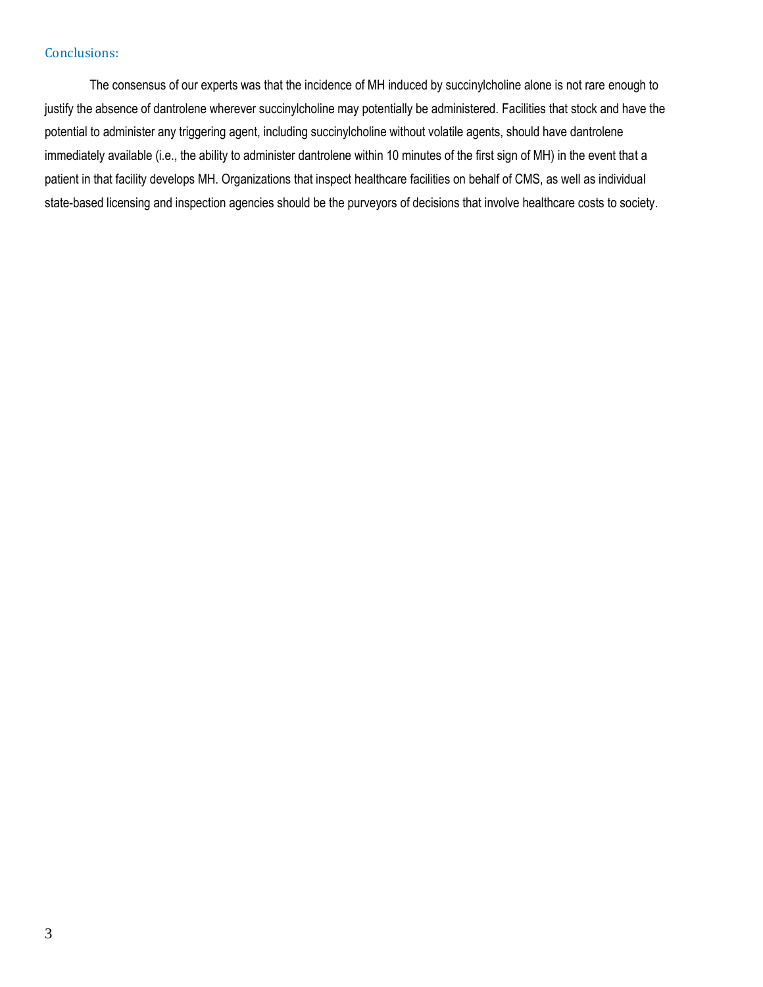## Conclusions:

The consensus of our experts was that the incidence of MH induced by succinylcholine alone is not rare enough to justify the absence of dantrolene wherever succinylcholine may potentially be administered. Facilities that stock and have the potential to administer any triggering agent, including succinylcholine without volatile agents, should have dantrolene immediately available (i.e., the ability to administer dantrolene within 10 minutes of the first sign of MH) in the event that a patient in that facility develops MH. Organizations that inspect healthcare facilities on behalf of CMS, as well as individual state-based licensing and inspection agencies should be the purveyors of decisions that involve healthcare costs to society.